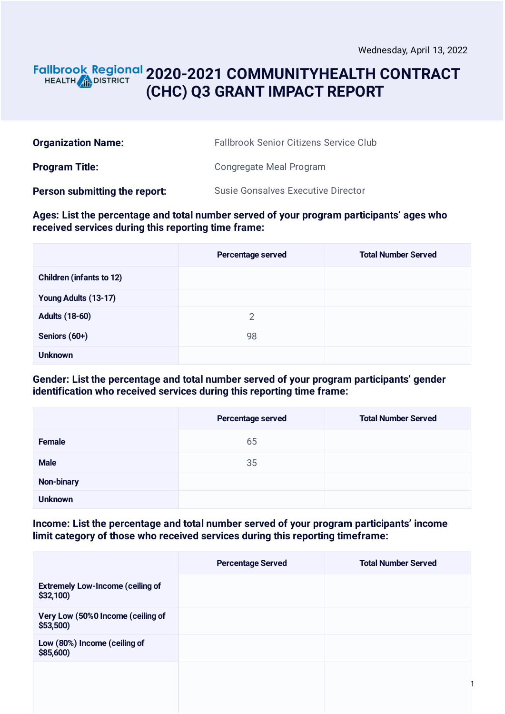### **2020-2021 COMMUNITYHEALTH CONTRACT** HEALTH **AND DISTRICT (CHC) Q3 GRANT IMPACT REPORT**

| <b>Organization Name:</b>     | <b>Fallbrook Senior Citizens Service Club</b> |
|-------------------------------|-----------------------------------------------|
| <b>Program Title:</b>         | Congregate Meal Program                       |
| Person submitting the report: | <b>Susie Gonsalves Executive Director</b>     |

#### **Ages: List the percentage and total number served of your program participants' ages who received services during this reporting time frame:**

|                                 | Percentage served | <b>Total Number Served</b> |
|---------------------------------|-------------------|----------------------------|
| <b>Children (infants to 12)</b> |                   |                            |
| Young Adults (13-17)            |                   |                            |
| <b>Adults (18-60)</b>           | $\overline{2}$    |                            |
| Seniors (60+)                   | 98                |                            |
| <b>Unknown</b>                  |                   |                            |

#### **Gender: List the percentage and total number served of your program participants' gender identification who received services during this reporting time frame:**

|                   | Percentage served | <b>Total Number Served</b> |
|-------------------|-------------------|----------------------------|
| <b>Female</b>     | 65                |                            |
| <b>Male</b>       | 35                |                            |
| <b>Non-binary</b> |                   |                            |
| <b>Unknown</b>    |                   |                            |

**Income: List the percentage and total number served of your program participants' income limit category of those who received services during this reporting timeframe:**

|                                                     | <b>Percentage Served</b> | <b>Total Number Served</b> |
|-----------------------------------------------------|--------------------------|----------------------------|
| <b>Extremely Low-Income (ceiling of</b><br>\$32,100 |                          |                            |
| Very Low (50%0 Income (ceiling of<br>$$53,500$ )    |                          |                            |
| Low (80%) Income (ceiling of<br>\$85,600            |                          |                            |
|                                                     |                          |                            |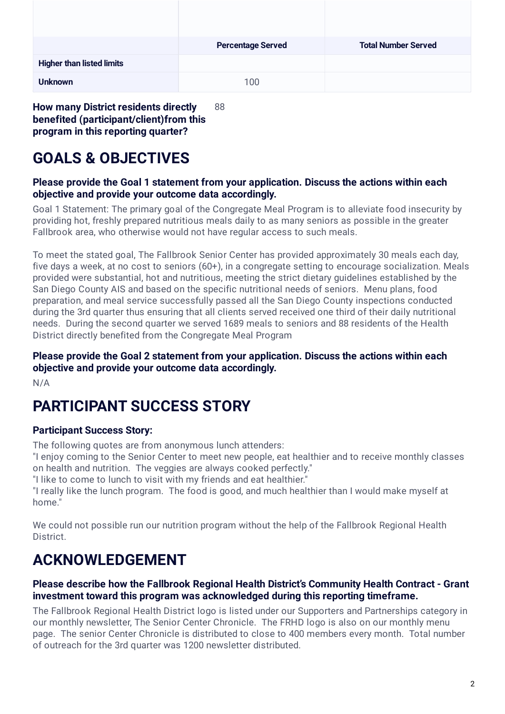|                                  | <b>Percentage Served</b> | <b>Total Number Served</b> |
|----------------------------------|--------------------------|----------------------------|
| <b>Higher than listed limits</b> |                          |                            |
| <b>Unknown</b>                   | 100                      |                            |

**How many District residents directly benefited (participant/client)from this program in this reporting quarter?** 88

# **GOALS & OBJECTIVES**

#### **Please provide the Goal 1 statement from your application. Discuss the actions within each objective and provide your outcome data accordingly.**

Goal 1 Statement: The primary goal of the Congregate Meal Program is to alleviate food insecurity by providing hot, freshly prepared nutritious meals daily to as many seniors as possible in the greater Fallbrook area, who otherwise would not have regular access to such meals.

To meet the stated goal, The Fallbrook Senior Center has provided approximately 30 meals each day, five days a week, at no cost to seniors (60+), in a congregate setting to encourage socialization. Meals provided were substantial, hot and nutritious, meeting the strict dietary guidelines established by the San Diego County AIS and based on the specific nutritional needs of seniors. Menu plans, food preparation, and meal service successfully passed all the San Diego County inspections conducted during the 3rd quarter thus ensuring that all clients served received one third of their daily nutritional needs. During the second quarter we served 1689 meals to seniors and 88 residents of the Health District directly benefited from the Congregate Meal Program

### **Please provide the Goal 2 statement from your application. Discuss the actions within each objective and provide your outcome data accordingly.**

N/A

# **PARTICIPANT SUCCESS STORY**

### **Participant Success Story:**

The following quotes are from anonymous lunch attenders:

"I enjoy coming to the Senior Center to meet new people, eat healthier and to receive monthly classes on health and nutrition. The veggies are always cooked perfectly."

"I like to come to lunch to visit with my friends and eat healthier."

"I really like the lunch program. The food is good, and much healthier than I would make myself at home."

We could not possible run our nutrition program without the help of the Fallbrook Regional Health **District** 

# **ACKNOWLEDGEMENT**

### **Please describe how the Fallbrook Regional Health District's Community Health Contract - Grant investment toward this program was acknowledged during this reporting timeframe.**

The Fallbrook Regional Health District logo is listed under our Supporters and Partnerships category in our monthly newsletter, The Senior Center Chronicle. The FRHD logo is also on our monthly menu page. The senior Center Chronicle is distributed to close to 400 members every month. Total number of outreach for the 3rd quarter was 1200 newsletter distributed.